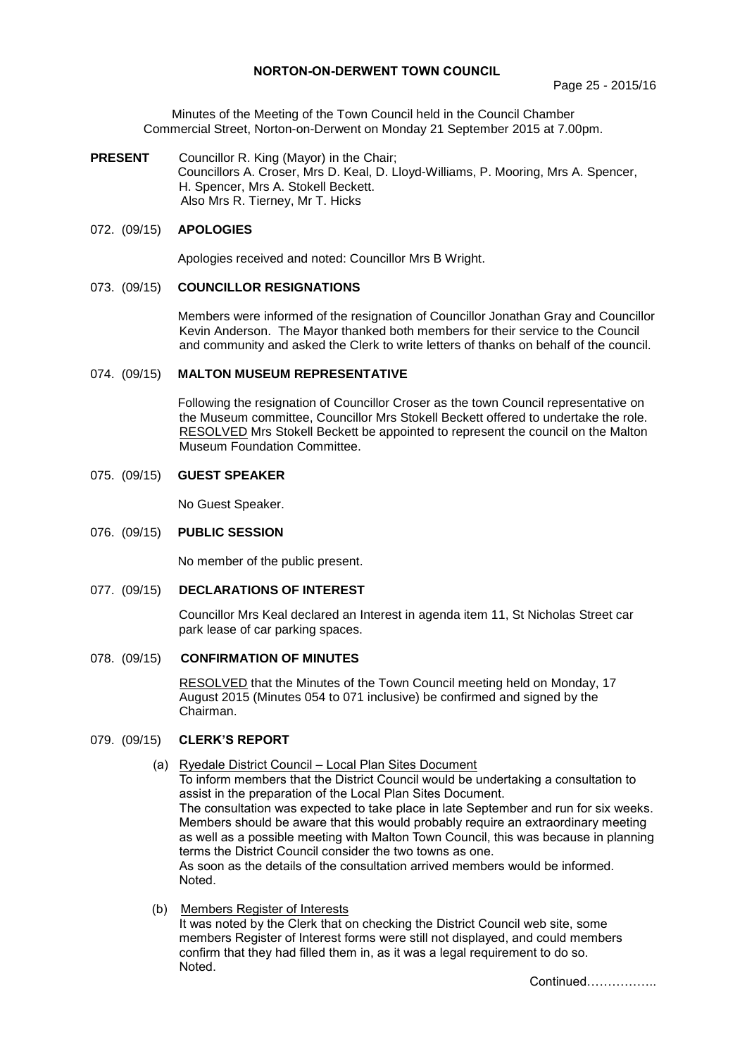## **NORTON-ON-DERWENT TOWN COUNCIL**

Minutes of the Meeting of the Town Council held in the Council Chamber Commercial Street, Norton-on-Derwent on Monday 21 September 2015 at 7.00pm.

**PRESENT** Councillor R. King (Mayor) in the Chair; Councillors A. Croser, Mrs D. Keal, D. Lloyd-Williams, P. Mooring, Mrs A. Spencer, H. Spencer, Mrs A. Stokell Beckett. Also Mrs R. Tierney, Mr T. Hicks

## 072. (09/15) **APOLOGIES**

Apologies received and noted: Councillor Mrs B Wright.

## 073. (09/15) **COUNCILLOR RESIGNATIONS**

Members were informed of the resignation of Councillor Jonathan Gray and Councillor Kevin Anderson. The Mayor thanked both members for their service to the Council and community and asked the Clerk to write letters of thanks on behalf of the council.

#### 074. (09/15) **MALTON MUSEUM REPRESENTATIVE**

Following the resignation of Councillor Croser as the town Council representative on the Museum committee, Councillor Mrs Stokell Beckett offered to undertake the role. RESOLVED Mrs Stokell Beckett be appointed to represent the council on the Malton Museum Foundation Committee.

## 075. (09/15) **GUEST SPEAKER**

No Guest Speaker.

### 076. (09/15) **PUBLIC SESSION**

No member of the public present.

077. (09/15) **DECLARATIONS OF INTEREST**

Councillor Mrs Keal declared an Interest in agenda item 11, St Nicholas Street car park lease of car parking spaces.

078. (09/15) **CONFIRMATION OF MINUTES**

RESOLVED that the Minutes of the Town Council meeting held on Monday, 17 August 2015 (Minutes 054 to 071 inclusive) be confirmed and signed by the Chairman.

## 079. (09/15) **CLERK'S REPORT**

- (a) Ryedale District Council Local Plan Sites Document To inform members that the District Council would be undertaking a consultation to assist in the preparation of the Local Plan Sites Document. The consultation was expected to take place in late September and run for six weeks. Members should be aware that this would probably require an extraordinary meeting as well as a possible meeting with Malton Town Council, this was because in planning terms the District Council consider the two towns as one. As soon as the details of the consultation arrived members would be informed. Noted.
- (b) Members Register of Interests

It was noted by the Clerk that on checking the District Council web site, some members Register of Interest forms were still not displayed, and could members confirm that they had filled them in, as it was a legal requirement to do so. Noted.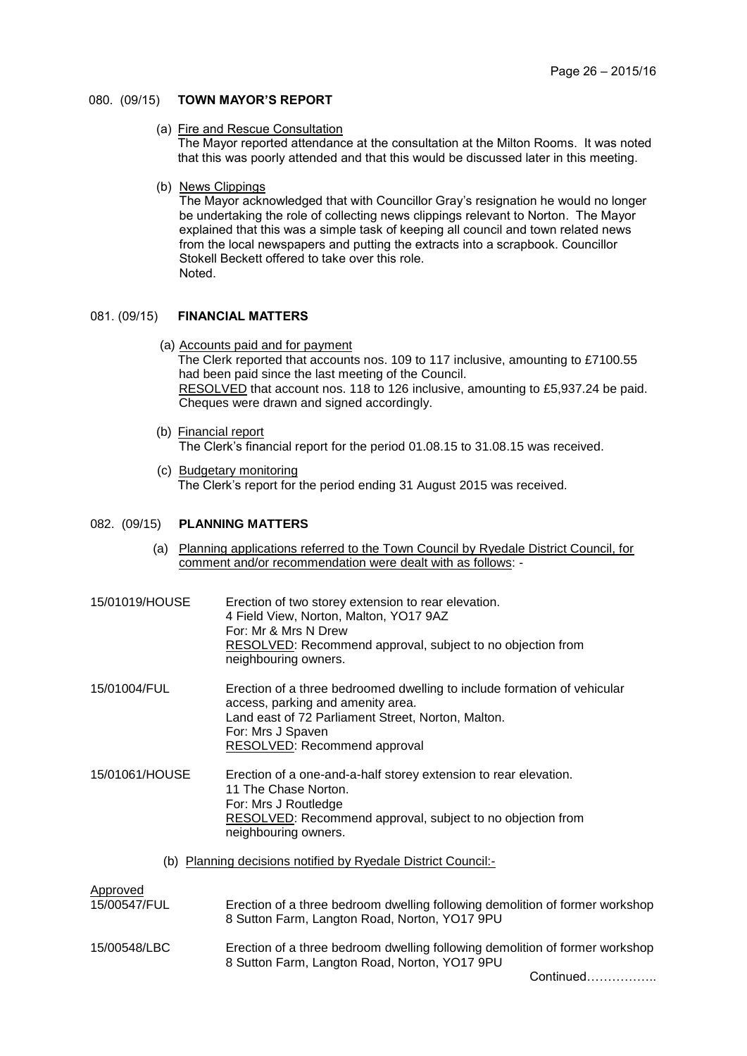#### 080. (09/15) **TOWN MAYOR'S REPORT**

(a) Fire and Rescue Consultation

The Mayor reported attendance at the consultation at the Milton Rooms. It was noted that this was poorly attended and that this would be discussed later in this meeting.

(b) News Clippings

The Mayor acknowledged that with Councillor Gray's resignation he would no longer be undertaking the role of collecting news clippings relevant to Norton. The Mayor explained that this was a simple task of keeping all council and town related news from the local newspapers and putting the extracts into a scrapbook. Councillor Stokell Beckett offered to take over this role. Noted.

## 081. (09/15) **FINANCIAL MATTERS**

- (a) Accounts paid and for payment The Clerk reported that accounts nos. 109 to 117 inclusive, amounting to £7100.55 had been paid since the last meeting of the Council. RESOLVED that account nos. 118 to 126 inclusive, amounting to £5,937.24 be paid. Cheques were drawn and signed accordingly.
- (b) Financial report The Clerk's financial report for the period 01.08.15 to 31.08.15 was received.
- (c) Budgetary monitoring The Clerk's report for the period ending 31 August 2015 was received.

#### 082. (09/15) **PLANNING MATTERS**

 (a) Planning applications referred to the Town Council by Ryedale District Council, for comment and/or recommendation were dealt with as follows: -

| 15/01019/HOUSE                                                | Erection of two storey extension to rear elevation.<br>4 Field View, Norton, Malton, YO17 9AZ<br>For: Mr & Mrs N Drew<br>RESOLVED: Recommend approval, subject to no objection from<br>neighbouring owners.                     |  |
|---------------------------------------------------------------|---------------------------------------------------------------------------------------------------------------------------------------------------------------------------------------------------------------------------------|--|
| 15/01004/FUL                                                  | Erection of a three bedroomed dwelling to include formation of vehicular<br>access, parking and amenity area.<br>Land east of 72 Parliament Street, Norton, Malton.<br>For: Mrs J Spaven<br><b>RESOLVED: Recommend approval</b> |  |
| 15/01061/HOUSE                                                | Erection of a one-and-a-half storey extension to rear elevation.<br>11 The Chase Norton.<br>For: Mrs J Routledge<br><b>RESOLVED:</b> Recommend approval, subject to no objection from<br>neighbouring owners.                   |  |
| (b) Planning decisions notified by Ryedale District Council:- |                                                                                                                                                                                                                                 |  |
| Approved<br>15/00547/FUL                                      | Erection of a three bedroom dwelling following demolition of former workshop<br>8 Sutton Farm, Langton Road, Norton, YO17 9PU                                                                                                   |  |
| 15/00548/LBC                                                  | Erection of a three bedroom dwelling following demolition of former workshop<br>8 Sutton Farm, Langton Road, Norton, YO17 9PU                                                                                                   |  |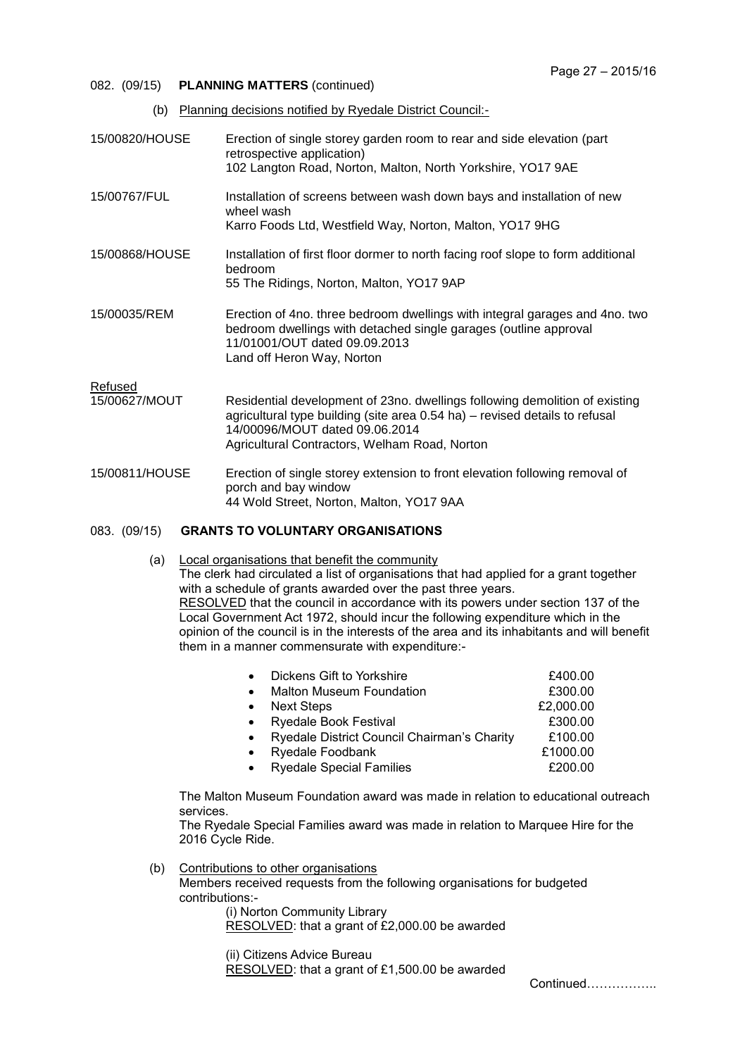- 082. (09/15) **PLANNING MATTERS** (continued)
	- (b) Planning decisions notified by Ryedale District Council:-
- 15/00820/HOUSE Erection of single storey garden room to rear and side elevation (part retrospective application) 102 Langton Road, Norton, Malton, North Yorkshire, YO17 9AE
- 15/00767/FUL Installation of screens between wash down bays and installation of new wheel wash Karro Foods Ltd, Westfield Way, Norton, Malton, YO17 9HG
- 15/00868/HOUSE Installation of first floor dormer to north facing roof slope to form additional bedroom 55 The Ridings, Norton, Malton, YO17 9AP
- 15/00035/REM Erection of 4no. three bedroom dwellings with integral garages and 4no. two bedroom dwellings with detached single garages (outline approval 11/01001/OUT dated 09.09.2013 Land off Heron Way, Norton

Refused

- 15/00627/MOUT Residential development of 23no. dwellings following demolition of existing agricultural type building (site area 0.54 ha) – revised details to refusal 14/00096/MOUT dated 09.06.2014 Agricultural Contractors, Welham Road, Norton
- 15/00811/HOUSE Erection of single storey extension to front elevation following removal of porch and bay window 44 Wold Street, Norton, Malton, YO17 9AA

## 083. (09/15) **GRANTS TO VOLUNTARY ORGANISATIONS**

 (a) Local organisations that benefit the community The clerk had circulated a list of organisations that had applied for a grant together with a schedule of grants awarded over the past three vears. RESOLVED that the council in accordance with its powers under section 137 of the Local Government Act 1972, should incur the following expenditure which in the opinion of the council is in the interests of the area and its inhabitants and will benefit them in a manner commensurate with expenditure:-

| $\bullet$ | Dickens Gift to Yorkshire                   | £400.00   |
|-----------|---------------------------------------------|-----------|
| $\bullet$ | <b>Malton Museum Foundation</b>             | £300.00   |
| $\bullet$ | <b>Next Steps</b>                           | £2,000.00 |
| $\bullet$ | <b>Ryedale Book Festival</b>                | £300.00   |
| $\bullet$ | Ryedale District Council Chairman's Charity | £100.00   |
| $\bullet$ | Ryedale Foodbank                            | £1000.00  |
| $\bullet$ | <b>Ryedale Special Families</b>             | £200.00   |
|           |                                             |           |

The Malton Museum Foundation award was made in relation to educational outreach services.

The Ryedale Special Families award was made in relation to Marquee Hire for the 2016 Cycle Ride.

 (b) Contributions to other organisations Members received requests from the following organisations for budgeted contributions:-

(i) Norton Community Library RESOLVED: that a grant of £2,000.00 be awarded

(ii) Citizens Advice Bureau

RESOLVED: that a grant of £1,500.00 be awarded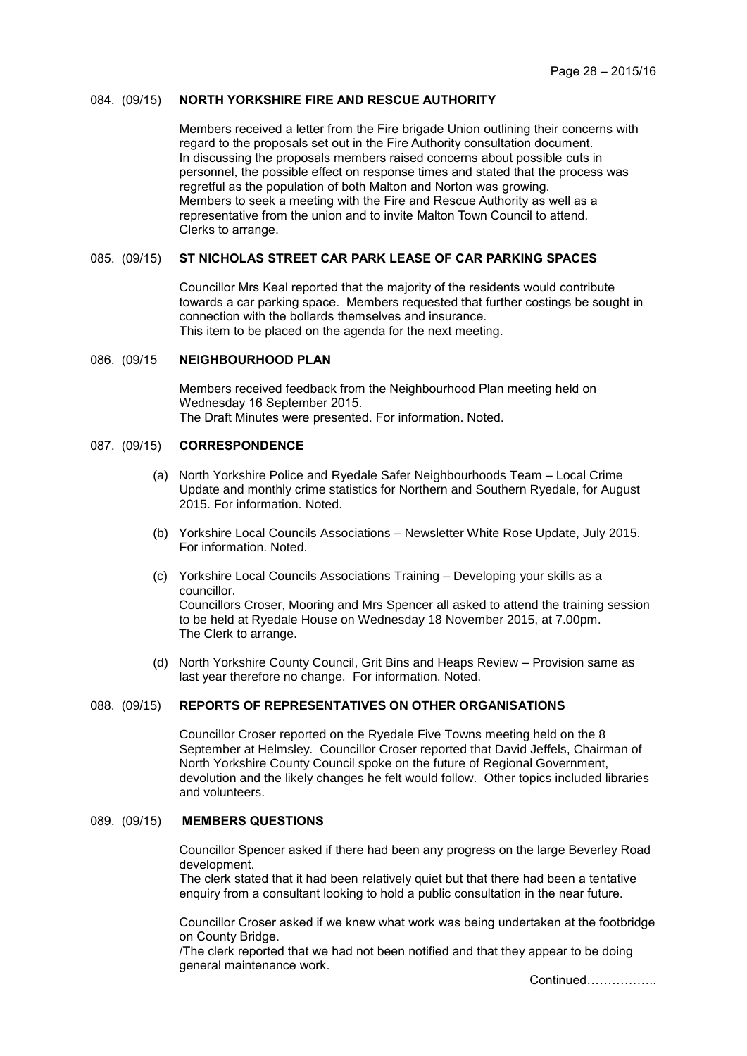#### 084. (09/15) **NORTH YORKSHIRE FIRE AND RESCUE AUTHORITY**

Members received a letter from the Fire brigade Union outlining their concerns with regard to the proposals set out in the Fire Authority consultation document. In discussing the proposals members raised concerns about possible cuts in personnel, the possible effect on response times and stated that the process was regretful as the population of both Malton and Norton was growing. Members to seek a meeting with the Fire and Rescue Authority as well as a representative from the union and to invite Malton Town Council to attend. Clerks to arrange.

# 085. (09/15) **ST NICHOLAS STREET CAR PARK LEASE OF CAR PARKING SPACES**

Councillor Mrs Keal reported that the majority of the residents would contribute towards a car parking space. Members requested that further costings be sought in connection with the bollards themselves and insurance. This item to be placed on the agenda for the next meeting.

#### 086. (09/15 **NEIGHBOURHOOD PLAN**

Members received feedback from the Neighbourhood Plan meeting held on Wednesday 16 September 2015. The Draft Minutes were presented. For information. Noted.

#### 087. (09/15) **CORRESPONDENCE**

- (a) North Yorkshire Police and Ryedale Safer Neighbourhoods Team Local Crime Update and monthly crime statistics for Northern and Southern Ryedale, for August 2015. For information. Noted.
- (b) Yorkshire Local Councils Associations Newsletter White Rose Update, July 2015. For information. Noted.
- (c) Yorkshire Local Councils Associations Training Developing your skills as a councillor. Councillors Croser, Mooring and Mrs Spencer all asked to attend the training session to be held at Ryedale House on Wednesday 18 November 2015, at 7.00pm. The Clerk to arrange.
- (d) North Yorkshire County Council, Grit Bins and Heaps Review Provision same as last year therefore no change. For information. Noted.

## 088. (09/15) **REPORTS OF REPRESENTATIVES ON OTHER ORGANISATIONS**

Councillor Croser reported on the Ryedale Five Towns meeting held on the 8 September at Helmsley. Councillor Croser reported that David Jeffels, Chairman of North Yorkshire County Council spoke on the future of Regional Government, devolution and the likely changes he felt would follow. Other topics included libraries and volunteers.

## 089. (09/15) **MEMBERS QUESTIONS**

Councillor Spencer asked if there had been any progress on the large Beverley Road development.

The clerk stated that it had been relatively quiet but that there had been a tentative enquiry from a consultant looking to hold a public consultation in the near future.

Councillor Croser asked if we knew what work was being undertaken at the footbridge on County Bridge.

/The clerk reported that we had not been notified and that they appear to be doing general maintenance work.